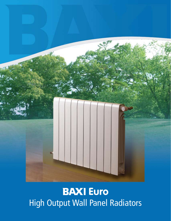

**EAXI** Euro High Output Wall Panel Radiators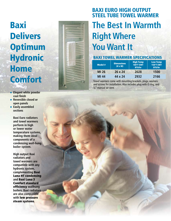## Baxi **Delivers Optimum Hydronic** Home **Comfort**

- **Elegant white powder coat finish**
- ◆ Reversible closed or **open panels**
- **Easily assembled sections**

**Baxi Euro radiators and towel warmers perform in high or lower water temperature systems, making them ideal components of a condensing wall-hung boiler system.**

**High output Baxi radiators and towel warmers are compatible with any hydronic system, complementing** Baxi Luna H T condensing **and** Baxi Luna 3 Comfort standard efficiency **wallhung boilers. Baxi radiators are also compatible with** low pressure steam systems **.**



## **The Best In Warmth Right Where You Want It** BAXI EURO HIGH OUTPUT STEEL TUBE TOWEL WARME

#### **BAXI TOWEL WARMER SPECIFICATIONS**

| <b>Model #</b> | <b>Dimensions</b><br>$(H \times W)$ | <b>High Temp</b><br>180°F EWT<br><b>BTU/hr</b> | <b>Low Temp</b><br>158°F EWT<br><b>BTU/hr</b> |  |  |
|----------------|-------------------------------------|------------------------------------------------|-----------------------------------------------|--|--|
| MI 26          | 26 x 24                             | 2028                                           | 1500                                          |  |  |
| MI 44          | 44 x 24                             | 2932                                           | 2166                                          |  |  |

Towel warmers come with mounting brackets, plugs, washers and screws for installation. Also includes plug with O ring, and  $\frac{1}{8}$ " manual air vent.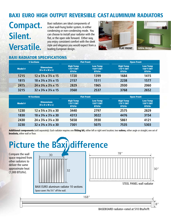### Baxi EURO HIGH OUTPUT REVERSIBLE CAST ALUMINUM RADIATORS

## **Compact. Silent. Versatile.**

Baxi radiators are ideal components of a Baxi wall-hung boiler system, in either condensing or non-condensing mode. You can choose to install your radiator with the flat, or the open side forward. Either way, you enjoy consistent comfort with the sleek style and elegance you would expect from a leading European design. The contract of the Contract of the Contract of the Contract of the Open FRONT OPEN FRON





#### Baxi rADIATOR SPECIFICATIONS

| <b>5 Sections</b> |                |                                                                         |                                                | <b>Flat Front</b>                             | <b>Open Front</b>                              |                                               |  |
|-------------------|----------------|-------------------------------------------------------------------------|------------------------------------------------|-----------------------------------------------|------------------------------------------------|-----------------------------------------------|--|
|                   | <b>Model #</b> | <b>Dimensions</b><br>$(H \times D \times W \times L)$                   | <b>High Temp</b><br>176°F EWT<br><b>BTU/hr</b> | <b>Low Temp</b><br>158°F EWT<br><b>BTU/hr</b> | <b>High Temp</b><br>176°F EWT<br><b>BTU/hr</b> | <b>Low Temp</b><br>158°F EWT<br><b>BTU/hr</b> |  |
|                   | 1215           | $12 \times 5\frac{3}{4} \times 3\frac{1}{4} \times 15$                  | 1720                                           | 1399                                          | 1684                                           | 1415                                          |  |
|                   | 1815           | $18 \times 3\frac{3}{4} \times 3\frac{1}{4} \times 15$                  | 2157                                           | 1511                                          | 2238                                           | 1577                                          |  |
|                   | 2415           | 24 x 3 <sup>3</sup> / <sub>4</sub> x 3 <sup>1</sup> / <sub>4</sub> x 15 | 2829                                           | 1965                                          | 2930                                           | 2060                                          |  |
|                   | 3215           | $32 \times 3\frac{3}{4} \times 3\frac{1}{4} \times 15$                  | 3560                                           | 2537                                          | 3768                                           | 2652                                          |  |

| <b>10 Sections</b> |                                                                         |                                                | <b>Flat Front</b>                             | <b>Open Front</b>                              |                                               |  |
|--------------------|-------------------------------------------------------------------------|------------------------------------------------|-----------------------------------------------|------------------------------------------------|-----------------------------------------------|--|
| <b>Model #</b>     | <b>Dimensions</b><br>$(H \times D \times W \times L)$                   | <b>High Temp</b><br>176°F EWT<br><b>BTU/hr</b> | <b>Low Temp</b><br>158°F EWT<br><b>BTU/hr</b> | <b>High Temp</b><br>176°F EWT<br><b>BTU/hr</b> | <b>Low Temp</b><br>158°F EWT<br><b>BTU/hr</b> |  |
| 1230               | $12 \times 5\frac{3}{4} \times 3\frac{1}{4} \times 30$                  | 3440                                           | 2797                                          | 2575                                           | 2829                                          |  |
| 1830               | $18 \times 3\frac{3}{4} \times 3\frac{1}{4} \times 30$                  | 4313                                           | 3022                                          | 4476                                           | 3154                                          |  |
| 2430               | 24 x 3 <sup>3</sup> / <sub>4</sub> x 3 <sup>1</sup> / <sub>4</sub> x 30 | 5658                                           | 3930                                          | 5861                                           | 4121                                          |  |
| 3230               | $32 \times 3\frac{3}{4} \times 3\frac{1}{4} \times 30$                  | 7301                                           | 5075                                          | 7535                                           | 5303                                          |  |

Additional components (sold separately): Each radiator requires one fitting kit, either left or right vent location; two valves, either angle or straight; one set of brackets, either wall or floor.

# **Picture the Baxi difference**

Compare the wall space required from other radiators to deliver the same approximate heat (7,000 BTU/hr).





168"

BASEBOARD radiator–rated at 510 Btu/hr/ft

 $8'$